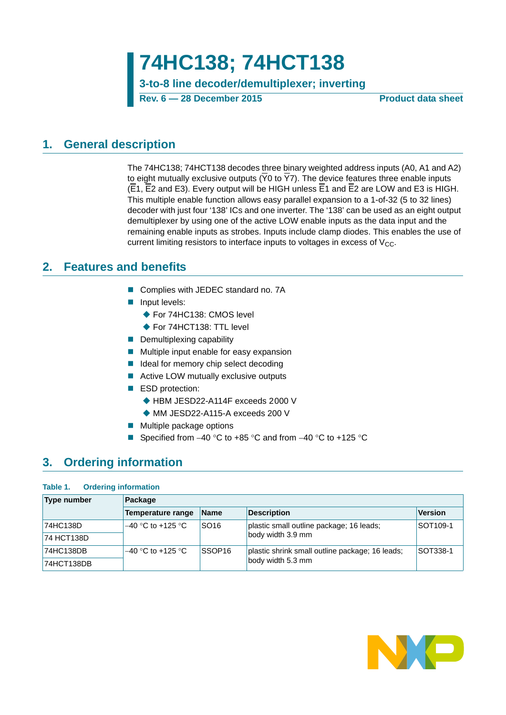**74HC138; 74HCT138 3-to-8 line decoder/demultiplexer; inverting**

**Rev. 6 — 28 December 2015 Product data sheet**

### <span id="page-0-1"></span>**1. General description**

The 74HC138; 74HCT138 decodes three binary weighted address inputs (A0, A1 and A2) to eight mutually exclusive outputs ( $\overline{Y}0$  to  $\overline{Y}7$ ). The device features three enable inputs (E1, E2 and E3). Every output will be HIGH unless E1 and E2 are LOW and E3 is HIGH. This multiple enable function allows easy parallel expansion to a 1-of-32 (5 to 32 lines) decoder with just four '138' ICs and one inverter. The '138' can be used as an eight output demultiplexer by using one of the active LOW enable inputs as the data input and the remaining enable inputs as strobes. Inputs include clamp diodes. This enables the use of current limiting resistors to interface inputs to voltages in excess of  $V_{CC}$ .

### <span id="page-0-2"></span>**2. Features and benefits**

- Complies with JEDEC standard no. 7A
- **Input levels:** 
	- ◆ For 74HC138: CMOS level
	- ◆ For 74HCT138: TTL level
- $\blacksquare$  Demultiplexing capability
- **Multiple input enable for easy expansion**
- I Ideal for memory chip select decoding
- Active LOW mutually exclusive outputs
- ESD protection:
	- ◆ HBM JESD22-A114F exceeds 2000 V
	- MM JESD22-A115-A exceeds 200 V
- **Multiple package options**
- Specified from  $-40$  °C to  $+85$  °C and from  $-40$  °C to  $+125$  °C

### <span id="page-0-0"></span>**3. Ordering information**

#### **Table 1. Ordering information**

| Type number | Package                  |                    |                                                 |                 |
|-------------|--------------------------|--------------------|-------------------------------------------------|-----------------|
|             | <b>Temperature range</b> | <b>Name</b>        | <b>Description</b>                              | <b>Version</b>  |
| 74HC138D    | $-40$ °C to +125 °C      | SO <sub>16</sub>   | plastic small outline package; 16 leads;        | <b>SOT109-1</b> |
| 74 HCT138D  |                          |                    | body width 3.9 mm                               |                 |
| 74HC138DB   | $-40$ °C to +125 °C      | SSOP <sub>16</sub> | plastic shrink small outline package; 16 leads; | <b>SOT338-1</b> |
| 74HCT138DB  |                          |                    | body width 5.3 mm                               |                 |

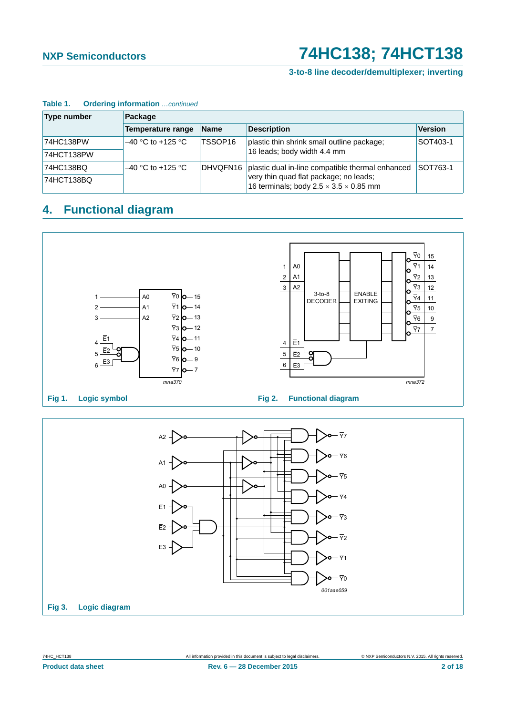### **3-to-8 line decoder/demultiplexer; inverting**

| <b>Type number</b> | Package             |                     |                                                                                              |                |
|--------------------|---------------------|---------------------|----------------------------------------------------------------------------------------------|----------------|
|                    | Temperature range   | <b>Name</b>         | <b>Description</b>                                                                           | <b>Version</b> |
| 74HC138PW          | $-40$ °C to +125 °C | TSSOP <sub>16</sub> | plastic thin shrink small outline package;                                                   | SOT403-1       |
| 74HCT138PW         |                     |                     | 16 leads; body width 4.4 mm                                                                  |                |
| 74HC138BQ          | $-40$ °C to +125 °C | DHVQFN16            | plastic dual in-line compatible thermal enhanced                                             | SOT763-1       |
| 74HCT138BQ         |                     |                     | very thin quad flat package; no leads;<br>16 terminals; body $2.5 \times 3.5 \times 0.85$ mm |                |

#### **Table 1. Ordering information** *…continued*

### <span id="page-1-0"></span>**4. Functional diagram**



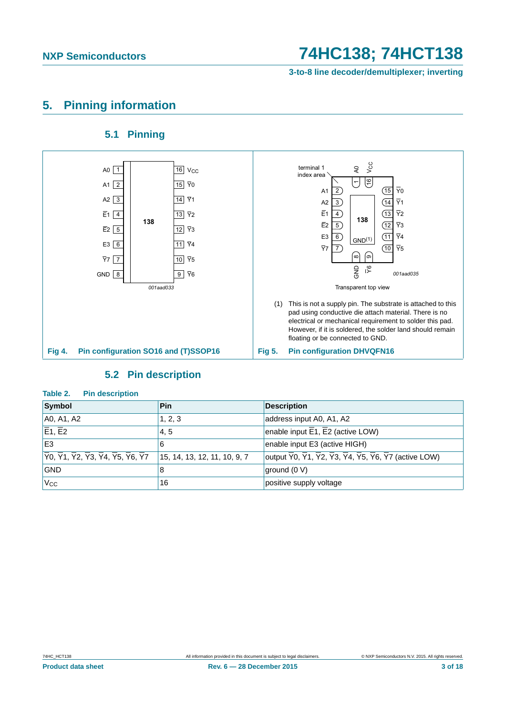**3-to-8 line decoder/demultiplexer; inverting**

### <span id="page-2-0"></span>**5. Pinning information**

### **5.1 Pinning**

<span id="page-2-1"></span>

### **5.2 Pin description**

| $I^{\text{a}}$                                                                                                                                                                                     |                              |                                                                                                                                                                   |
|----------------------------------------------------------------------------------------------------------------------------------------------------------------------------------------------------|------------------------------|-------------------------------------------------------------------------------------------------------------------------------------------------------------------|
| Symbol                                                                                                                                                                                             | <b>Pin</b>                   | <b>Description</b>                                                                                                                                                |
| A0, A1, A2                                                                                                                                                                                         | 1, 2, 3                      | address input A0, A1, A2                                                                                                                                          |
| $\overline{E}$ 1, $\overline{E}$ 2                                                                                                                                                                 | 4.5                          | enable input $E_1$ , $E_2$ (active LOW)                                                                                                                           |
| E <sub>3</sub>                                                                                                                                                                                     | 6                            | enable input E3 (active HIGH)                                                                                                                                     |
| $ \overline{\mathsf{Y}}0, \overline{\mathsf{Y}}1, \overline{\mathsf{Y}}2, \overline{\mathsf{Y}}3, \overline{\mathsf{Y}}4, \overline{\mathsf{Y}}5, \overline{\mathsf{Y}}6, \overline{\mathsf{Y}}7 $ | 15, 14, 13, 12, 11, 10, 9, 7 | output $\overline{Y}0$ , $\overline{Y}1$ , $\overline{Y}2$ , $\overline{Y}3$ , $\overline{Y}4$ , $\overline{Y}5$ , $\overline{Y}6$ , $\overline{Y}7$ (active LOW) |
| <b>GND</b>                                                                                                                                                                                         | 8                            | ground (0 V)                                                                                                                                                      |
| $\rm V_{CC}$                                                                                                                                                                                       | 16                           | positive supply voltage                                                                                                                                           |

<span id="page-2-2"></span>**Table 2. Pin description**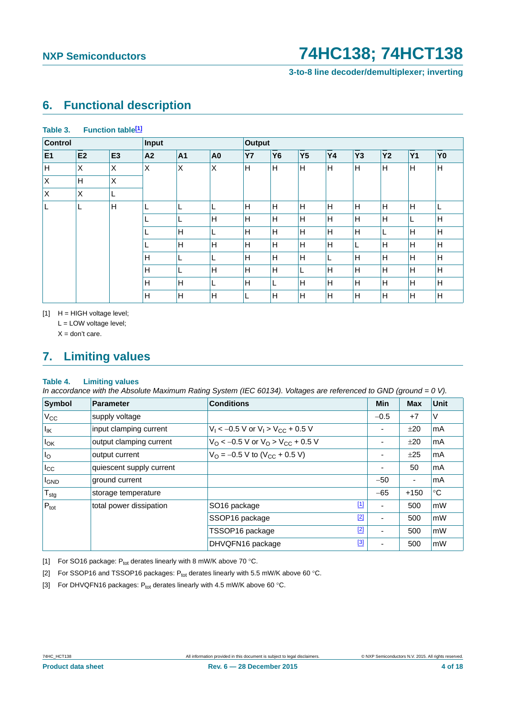**Table 3. Function tabl[e\[1\]](#page-3-0)**

**3-to-8 line decoder/demultiplexer; inverting**

### <span id="page-3-4"></span>**6. Functional description**

| <b>Control</b> |                |                | Input          |                |                | Output    |           |                |           |                |           |           |                |
|----------------|----------------|----------------|----------------|----------------|----------------|-----------|-----------|----------------|-----------|----------------|-----------|-----------|----------------|
| E1             | E <sub>2</sub> | E <sub>3</sub> | A <sub>2</sub> | A1             | A <sub>0</sub> | <b>Y7</b> | <b>Y6</b> | Y <sub>5</sub> | <b>Y4</b> | Y <sub>3</sub> | <b>Y2</b> | <b>Y1</b> | Y <sub>0</sub> |
| н              | ΙX             | X              | X              | $\pmb{\times}$ | $\pmb{\times}$ | H         | H         | Η              | H         | H              | H         | ΙH        | H              |
| X              | H              | X              |                |                |                |           |           |                |           |                |           |           |                |
| $\mathsf X$    | ΙX             | L              |                |                |                |           |           |                |           |                |           |           |                |
|                | L              | H              | ┕              | L              |                | H         | H         | H              | H         | H              | H         | H         | L              |
|                |                |                |                | L              | H              | H         | H         | H              | H         | H              | H         | ш         | H              |
|                |                |                | ┗              | H              | ∟              | H         | H         | H              | H         | H              | L.        | lн        | H              |
|                |                |                | ┗              | H              | H              | H         | H         | н              | H         | ┕              | ΙH        | H         | H              |
|                |                |                | Н              | L              |                | H         | H         | Ή              |           | H              | H         | H         | H              |
|                |                |                | H              | ц              | H              | H         | H         | L              | H         | H              | ΙH        | lН        | H              |
|                |                |                | Н              | H              |                | H         | L         | H              | H         | H              | H         | lн        | H              |
|                |                |                | H              | Н              | H              | ┗         | H         | H              | H         | H              | H         | lн        | H              |

<span id="page-3-0"></span> $[1]$  H = HIGH voltage level; L = LOW voltage level;

 $X =$  don't care.

### <span id="page-3-5"></span>**7. Limiting values**

### **Table 4. Limiting values**

*In accordance with the Absolute Maximum Rating System (IEC 60134). Voltages are referenced to GND (ground = 0 V).*

| Symbol            | <b>Parameter</b>         | <b>Conditions</b>                                            |             | Min                      | <b>Max</b> | <b>Unit</b> |
|-------------------|--------------------------|--------------------------------------------------------------|-------------|--------------------------|------------|-------------|
| $V_{\rm CC}$      | supply voltage           |                                                              |             | $-0.5$                   | $+7$       | V           |
| $I_{\mathsf{IK}}$ | input clamping current   | $V_1 < -0.5$ V or $V_1 > V_{CC} + 0.5$ V                     |             | $\overline{\phantom{0}}$ | ±20        | mA          |
| $I_{OK}$          | output clamping current  | $V_O$ < -0.5 V or $V_O$ > $V_{CC}$ + 0.5 V                   |             |                          | ±20        | mA          |
| I <sub>O</sub>    | output current           | $V_{\text{O}} = -0.5 \text{ V}$ to (V <sub>CC</sub> + 0.5 V) |             |                          | ±25        | mA          |
| $I_{\rm CC}$      | quiescent supply current |                                                              |             | $\overline{\phantom{0}}$ | 50         | mA          |
| <b>I</b> GND      | ground current           |                                                              |             | $-50$                    | ٠          | mA          |
| $T_{\text{stg}}$  | storage temperature      |                                                              |             | $-65$                    | $+150$     | $^{\circ}C$ |
| $P_{\text{tot}}$  | total power dissipation  | SO <sub>16</sub> package                                     | $\boxed{1}$ | ۰                        | 500        | mW          |
|                   |                          | SSOP16 package                                               | $[2]$       | ٠                        | 500        | mW          |
|                   |                          | TSSOP16 package                                              | $[2]$       | ٠                        | 500        | mW          |
|                   |                          | DHVQFN16 package                                             | $[3]$       |                          | 500        | mW          |

<span id="page-3-1"></span>[1] For SO16 package:  $P_{tot}$  derates linearly with 8 mW/K above 70 °C.

<span id="page-3-2"></span>[2] For SSOP16 and TSSOP16 packages:  $P_{tot}$  derates linearly with 5.5 mW/K above 60 °C.

<span id="page-3-3"></span>[3] For DHVQFN16 packages:  $P_{\text{tot}}$  derates linearly with 4.5 mW/K above 60 °C.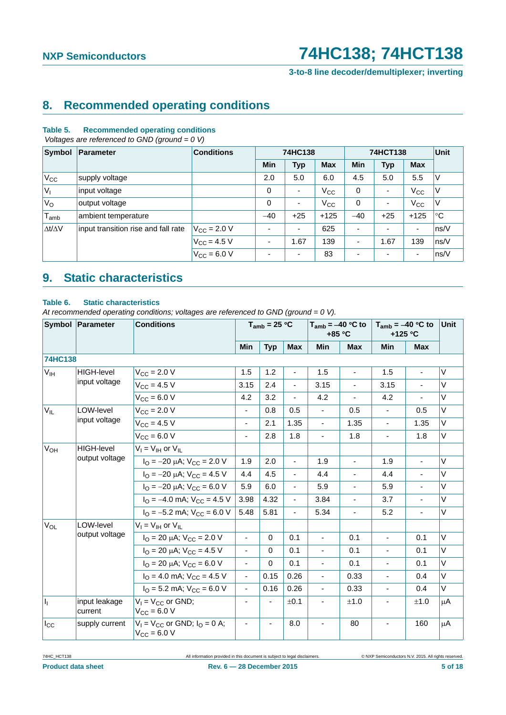**3-to-8 line decoder/demultiplexer; inverting**

### <span id="page-4-2"></span>**8. Recommended operating conditions**

#### **Table 5. Recommended operating conditions**

 *Voltages are referenced to GND (ground = 0 V)*

| Symbol              | Parameter                           | <b>Conditions</b>    | 74HC138     |                          |            | 74HCT138                 | <b>Unit</b>              |                          |             |
|---------------------|-------------------------------------|----------------------|-------------|--------------------------|------------|--------------------------|--------------------------|--------------------------|-------------|
|                     |                                     |                      | Min         | <b>Typ</b>               | <b>Max</b> | <b>Min</b>               | <b>Typ</b>               | <b>Max</b>               |             |
| $V_{CC}$            | supply voltage                      |                      | 2.0         | 5.0                      | 6.0        | 4.5                      | 5.0                      | 5.5                      | ٧           |
| $ V_1 $             | input voltage                       |                      | 0           | ٠                        | $V_{CC}$   | 0                        | $\overline{\phantom{a}}$ | $V_{\rm CC}$             | V           |
| $V_{\rm O}$         | output voltage                      |                      | $\mathbf 0$ | $\overline{\phantom{a}}$ | $V_{CC}$   | 0                        | ٠                        | $V_{\rm CC}$             | ٧           |
| $T_{amb}$           | ambient temperature                 |                      | $-40$       | $+25$                    | $+125$     | $-40$                    | $+25$                    | $+125$                   | $^{\circ}C$ |
| $\Delta t/\Delta V$ | input transition rise and fall rate | $V_{\rm CC} = 2.0 V$ | ۰           | ٠                        | 625        |                          | $\overline{\phantom{0}}$ | $\blacksquare$           | ns/V        |
|                     |                                     | $V_{\rm CC}$ = 4.5 V | ٠           | 1.67                     | 139        | $\overline{\phantom{a}}$ | 1.67                     | 139                      | ns/V        |
|                     |                                     | $V_{\rm CC} = 6.0 V$ |             | ٠                        | 83         |                          | ٠                        | $\overline{\phantom{a}}$ | ns/V        |

## <span id="page-4-1"></span>**9. Static characteristics**

#### <span id="page-4-0"></span>**Table 6. Static characteristics**

*At recommended operating conditions; voltages are referenced to GND (ground = 0 V).*

|                       | Symbol Parameter         | <b>Conditions</b>                                                  |                          | $T_{amb}$ = 25 °C |                |                          | $T_{amb} = -40$ °C to<br>$+85 °C$ |                          | $T_{amb} = -40 °C$ to<br>$+125$ °C | Unit   |
|-----------------------|--------------------------|--------------------------------------------------------------------|--------------------------|-------------------|----------------|--------------------------|-----------------------------------|--------------------------|------------------------------------|--------|
|                       |                          |                                                                    | <b>Min</b>               | <b>Typ</b>        | <b>Max</b>     | <b>Min</b>               | <b>Max</b>                        | <b>Min</b>               | <b>Max</b>                         |        |
| <b>74HC138</b>        |                          |                                                                    |                          |                   |                |                          |                                   |                          |                                    |        |
| V <sub>IH</sub>       | <b>HIGH-level</b>        | $V_{CC} = 2.0 V$                                                   | 1.5                      | 1.2               |                | 1.5                      | $\overline{a}$                    | 1.5                      | $\blacksquare$                     | $\vee$ |
|                       | input voltage            | $V_{CC}$ = 4.5 V                                                   | 3.15                     | 2.4               |                | 3.15                     |                                   | 3.15                     |                                    | $\vee$ |
|                       |                          | $V_{CC}$ = 6.0 V                                                   | 4.2                      | 3.2               | $\blacksquare$ | 4.2                      | ä,                                | 4.2                      |                                    | $\vee$ |
| $V_{IL}$              | LOW-level                | $V_{CC}$ = 2.0 V                                                   | ä,                       | 0.8               | 0.5            | $\blacksquare$           | 0.5                               | $\overline{a}$           | 0.5                                | $\vee$ |
|                       | input voltage            | $V_{CC}$ = 4.5 V                                                   | $\overline{\phantom{0}}$ | 2.1               | 1.35           | $\blacksquare$           | 1.35                              | $\blacksquare$           | 1.35                               | $\vee$ |
|                       |                          | $V_{CC}$ = 6.0 V                                                   | $\overline{\phantom{0}}$ | 2.8               | 1.8            | $\blacksquare$           | 1.8                               | ÷,                       | 1.8                                | $\vee$ |
| <b>V<sub>OH</sub></b> | <b>HIGH-level</b>        | $V_I = V_{IH}$ or $V_{IL}$                                         |                          |                   |                |                          |                                   |                          |                                    |        |
|                       | output voltage           | $I_{\text{O}} = -20 \mu\text{A}$ ; $V_{\text{CC}} = 2.0 \text{ V}$ | 1.9                      | 2.0               | $\blacksquare$ | 1.9                      | L.                                | 1.9                      | $\blacksquare$                     | $\vee$ |
|                       |                          | $I_{\text{O}} = -20 \mu\text{A}$ ; $V_{\text{CC}} = 4.5 \text{ V}$ | 4.4                      | 4.5               | $\blacksquare$ | 4.4                      | L.                                | 4.4                      | $\blacksquare$                     | $\vee$ |
|                       |                          | $I_{\text{O}} = -20 \mu\text{A}$ ; $V_{\text{CC}} = 6.0 \text{ V}$ | 5.9                      | 6.0               | $\mathbf{r}$   | 5.9                      | L.                                | 5.9                      | $\blacksquare$                     | $\vee$ |
|                       |                          | $I_{\Omega}$ = -4.0 mA; $V_{\text{CC}}$ = 4.5 V                    | 3.98                     | 4.32              | $\blacksquare$ | 3.84                     | ä,                                | 3.7                      | ä,                                 | V      |
|                       |                          | $I_{\text{O}} = -5.2 \text{ mA}$ ; $V_{\text{CC}} = 6.0 \text{ V}$ | 5.48                     | 5.81              | $\mathbf{r}$   | 5.34                     | L.                                | 5.2                      | $\blacksquare$                     | $\vee$ |
| <b>V<sub>OL</sub></b> | LOW-level                | $V_I = V_{IH}$ or $V_{IL}$                                         |                          |                   |                |                          |                                   |                          |                                    |        |
|                       | output voltage           | $I_{\text{O}}$ = 20 $\mu$ A; V <sub>CC</sub> = 2.0 V               | $\blacksquare$           | $\Omega$          | 0.1            | $\blacksquare$           | 0.1                               | $\blacksquare$           | 0.1                                | $\vee$ |
|                       |                          | $I_{\Omega}$ = 20 $\mu$ A; V <sub>CC</sub> = 4.5 V                 | $\blacksquare$           | $\Omega$          | 0.1            | $\blacksquare$           | 0.1                               | $\blacksquare$           | 0.1                                | V      |
|                       |                          | $I_{\text{O}}$ = 20 µA; $V_{\text{CC}}$ = 6.0 V                    | $\overline{\phantom{0}}$ | $\Omega$          | 0.1            | $\blacksquare$           | 0.1                               | $\blacksquare$           | 0.1                                | $\vee$ |
|                       |                          | $I_{\Omega}$ = 4.0 mA; $V_{\text{CC}}$ = 4.5 V                     | $\blacksquare$           | 0.15              | 0.26           | $\overline{\phantom{a}}$ | 0.33                              | $\blacksquare$           | 0.4                                | V      |
|                       |                          | $IO$ = 5.2 mA; $VCC$ = 6.0 V                                       | ÷,                       | 0.16              | 0.26           | $\overline{\phantom{a}}$ | 0.33                              | $\blacksquare$           | 0.4                                | $\vee$ |
| $\vert \vert_1$       | input leakage<br>current | $V_1 = V_{CC}$ or GND;<br>$V_{CC} = 6.0 V$                         | $\overline{\phantom{0}}$ |                   | ±0.1           |                          | ±1.0                              | $\overline{\phantom{a}}$ | ±1.0                               | μA     |
| $I_{\rm CC}$          | supply current           | $V_1 = V_{CC}$ or GND; $I_Q = 0$ A;<br>$V_{CC} = 6.0 V$            | ä,                       | ä,                | 8.0            |                          | 80                                | $\blacksquare$           | 160                                | μA     |

74HC\_HCT138 All information provided in this document is subject to legal disclaimers. © NXP Semiconductors N.V. 2015. All rights reserved.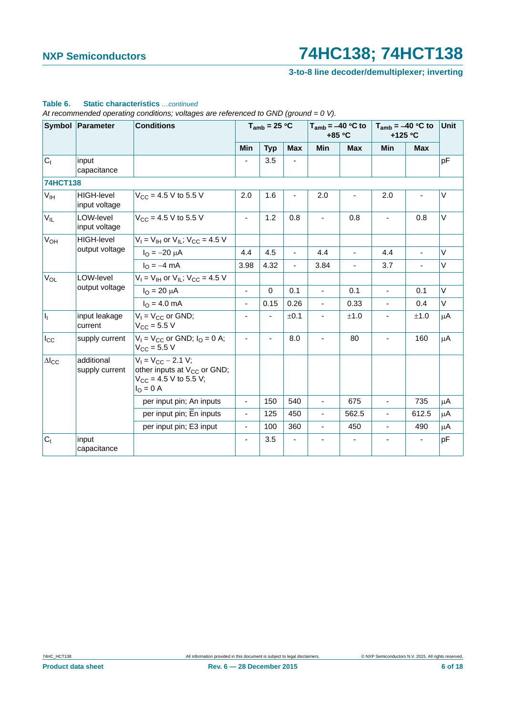### **3-to-8 line decoder/demultiplexer; inverting**

|                        | Symbol Parameter                   | <b>Conditions</b>                                                                                                      |                          | $T_{amb}$ = 25 °C |                              |                          | $T_{amb} = -40 °C$ to<br>+85 °C |                | $T_{amb} = -40 °C$ to<br>+125 °C | Unit    |
|------------------------|------------------------------------|------------------------------------------------------------------------------------------------------------------------|--------------------------|-------------------|------------------------------|--------------------------|---------------------------------|----------------|----------------------------------|---------|
|                        |                                    |                                                                                                                        | Min                      | <b>Typ</b>        | <b>Max</b>                   | Min                      | <b>Max</b>                      | <b>Min</b>     | <b>Max</b>                       |         |
| C <sub>1</sub>         | input<br>capacitance               |                                                                                                                        |                          | 3.5               | $\qquad \qquad \blacksquare$ |                          |                                 |                |                                  | pF      |
| <b>74HCT138</b>        |                                    |                                                                                                                        |                          |                   |                              |                          |                                 |                |                                  |         |
| V <sub>IH</sub>        | <b>HIGH-level</b><br>input voltage | $V_{\text{CC}} = 4.5 \text{ V}$ to 5.5 V                                                                               | 2.0                      | 1.6               |                              | 2.0                      |                                 | 2.0            |                                  | $\vee$  |
| $V_{IL}$               | LOW-level<br>input voltage         | $V_{CC}$ = 4.5 V to 5.5 V                                                                                              | $\overline{\phantom{a}}$ | 1.2               | 0.8                          |                          | 0.8                             |                | 0.8                              | $\vee$  |
| <b>V<sub>OH</sub></b>  | <b>HIGH-level</b>                  | $V_1 = V_{1H}$ or $V_{1L}$ ; $V_{CC} = 4.5$ V                                                                          |                          |                   |                              |                          |                                 |                |                                  |         |
|                        | output voltage                     | $I_{\rm O} = -20 \mu A$                                                                                                | 4.4                      | 4.5               |                              | 4.4                      |                                 | 4.4            |                                  | $\vee$  |
|                        |                                    | $I_{\Omega} = -4$ mA                                                                                                   | 3.98                     | 4.32              | $\blacksquare$               | 3.84                     | $\blacksquare$                  | 3.7            |                                  | $\vee$  |
| <b>V<sub>OL</sub></b>  | LOW-level                          | $V_1 = V_{1H}$ or $V_{1L}$ ; $V_{CC} = 4.5$ V                                                                          |                          |                   |                              |                          |                                 |                |                                  |         |
|                        | output voltage                     | $I_{O} = 20 \mu A$                                                                                                     | $\blacksquare$           | $\mathbf 0$       | 0.1                          | ä,                       | 0.1                             | ÷,             | 0.1                              | V       |
|                        |                                    | $IO = 4.0$ mA                                                                                                          | $\overline{\phantom{a}}$ | 0.15              | 0.26                         | $\overline{\phantom{0}}$ | 0.33                            | ä,             | 0.4                              | $\vee$  |
| I <sub>I</sub>         | input leakage<br>current           | $V_1 = V_{CC}$ or GND;<br>$V_{CC} = 5.5 V$                                                                             | ä,                       |                   | ±0.1                         |                          | ±1.0                            |                | ±1.0                             | μA      |
| $I_{\rm CC}$           | supply current                     | $V_1 = V_{CC}$ or GND; $I_Q = 0$ A;<br>$V_{\text{CC}} = 5.5 V$                                                         | ä,                       |                   | 8.0                          |                          | 80                              |                | 160                              | $\mu$ A |
| $\Delta l_{\text{CC}}$ | additional<br>supply current       | $V_1 = V_{CC} - 2.1 V;$<br>other inputs at V <sub>CC</sub> or GND;<br>$V_{CC}$ = 4.5 V to 5.5 V;<br>$I_{\Omega} = 0$ A |                          |                   |                              |                          |                                 |                |                                  |         |
|                        |                                    | per input pin; An inputs                                                                                               | $\blacksquare$           | 150               | 540                          | ÷,                       | 675                             | ÷,             | 735                              | μA      |
|                        |                                    | per input pin; En inputs                                                                                               | $\overline{\phantom{a}}$ | 125               | 450                          | ä,                       | 562.5                           | ÷,             | 612.5                            | μA      |
|                        |                                    | per input pin; E3 input                                                                                                | $\blacksquare$           | 100               | 360                          | ÷,                       | 450                             | $\blacksquare$ | 490                              | μA      |
| C <sub>1</sub>         | input<br>capacitance               |                                                                                                                        | $\blacksquare$           | 3.5               |                              |                          | $\overline{\phantom{a}}$        |                |                                  | pF      |

### **Table 6. Static characteristics** *…continued*

*At recommended operating conditions; voltages are referenced to GND (ground = 0 V).*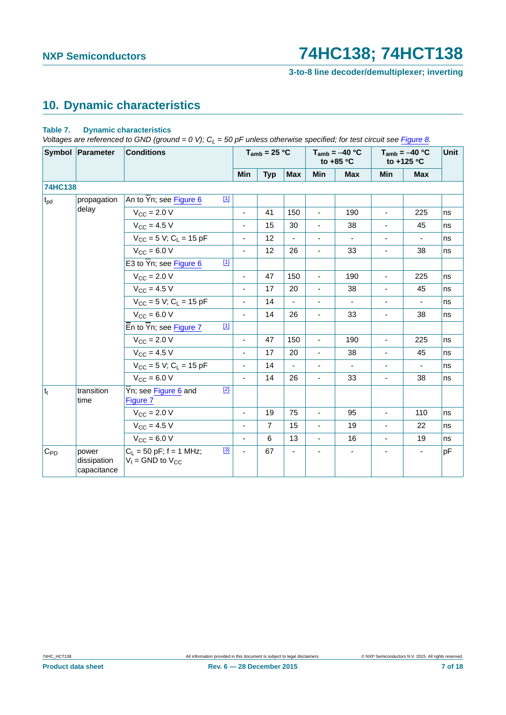**3-to-8 line decoder/demultiplexer; inverting**

## <span id="page-6-1"></span>**10. Dynamic characteristics**

#### <span id="page-6-0"></span>**Table 7. Dynamic characteristics**

*Voltages are referenced to GND (ground = 0 V); C<sub>L</sub> = 50 pF unless otherwise specified; for test circuit see [Figure 8.](#page-9-0)* 

|              | Symbol Parameter                    | <b>Conditions</b>                                                    |             |                          | $T_{amb}$ = 25 °C |                |                          | $T_{amb} = -40 °C$<br>to +85 $\degree$ C |                          | $T_{amb} = -40 °C$<br>to +125 $\degree$ C | Unit |
|--------------|-------------------------------------|----------------------------------------------------------------------|-------------|--------------------------|-------------------|----------------|--------------------------|------------------------------------------|--------------------------|-------------------------------------------|------|
|              |                                     |                                                                      |             | Min                      | <b>Typ</b>        | <b>Max</b>     | Min                      | <b>Max</b>                               | Min                      | <b>Max</b>                                |      |
| 74HC138      |                                     |                                                                      |             |                          |                   |                |                          |                                          |                          |                                           |      |
| $t_{\rm pd}$ | propagation                         | An to $\overline{Y}$ n; see Figure 6                                 | $\boxed{1}$ |                          |                   |                |                          |                                          |                          |                                           |      |
|              | delay                               | $V_{\rm CC}$ = 2.0 V                                                 |             | $\blacksquare$           | 41                | 150            | $\overline{\phantom{a}}$ | 190                                      | $\blacksquare$           | 225                                       | ns   |
|              |                                     | $V_{CC} = 4.5 V$                                                     |             | $\overline{\phantom{a}}$ | 15                | 30             | $\blacksquare$           | 38                                       | $\overline{\phantom{a}}$ | 45                                        | ns   |
|              |                                     | $V_{CC}$ = 5 V; C <sub>L</sub> = 15 pF                               |             | $\overline{\phantom{0}}$ | 12                |                | $\overline{\phantom{0}}$ | $\qquad \qquad \blacksquare$             | $\overline{\phantom{a}}$ |                                           | ns   |
|              |                                     | $V_{CC}$ = 6.0 V                                                     |             | $\overline{\phantom{a}}$ | 12                | 26             | ä,                       | 33                                       | $\overline{\phantom{a}}$ | 38                                        | ns   |
|              |                                     | E3 to $\overline{Y}$ n; see Figure 6                                 | $\boxed{1}$ |                          |                   |                |                          |                                          |                          |                                           |      |
|              |                                     | $V_{CC}$ = 2.0 V                                                     |             | ä,                       | 47                | 150            | $\overline{a}$           | 190                                      | ä,                       | 225                                       | ns   |
|              |                                     | $V_{CC}$ = 4.5 V                                                     |             | L.                       | 17                | 20             | L.                       | 38                                       | L.                       | 45                                        | ns   |
|              |                                     | $V_{CC}$ = 5 V; C <sub>L</sub> = 15 pF                               |             | $\blacksquare$           | 14                | $\blacksquare$ | $\blacksquare$           | $\blacksquare$                           | $\blacksquare$           | $\blacksquare$                            | ns   |
|              |                                     | $V_{\text{CC}} = 6.0 V$                                              |             | $\blacksquare$           | 14                | 26             | $\blacksquare$           | 33                                       | $\blacksquare$           | 38                                        | ns   |
|              |                                     | $\overline{\mathsf{E}}$ n to $\overline{\mathsf{Y}}$ n; see Figure 7 | $\boxed{1}$ |                          |                   |                |                          |                                          |                          |                                           |      |
|              |                                     | $V_{\text{CC}} = 2.0 V$                                              |             | $\blacksquare$           | 47                | 150            | $\blacksquare$           | 190                                      | $\blacksquare$           | 225                                       | ns   |
|              |                                     | $V_{CC} = 4.5 V$                                                     |             | ٠                        | 17                | 20             | ٠                        | 38                                       | $\blacksquare$           | 45                                        | ns   |
|              |                                     | $V_{CC}$ = 5 V; C <sub>1</sub> = 15 pF                               |             | $\blacksquare$           | 14                |                |                          | ÷.                                       |                          | ä,                                        | ns   |
|              |                                     | $V_{CC} = 6.0 V$                                                     |             | $\blacksquare$           | 14                | 26             | ÷,                       | 33                                       | $\blacksquare$           | 38                                        | ns   |
| $ t_t $      | transition<br>time                  | Yn; see Figure 6 and<br>Figure 7                                     | $[2]$       |                          |                   |                |                          |                                          |                          |                                           |      |
|              |                                     | $V_{CC} = 2.0 V$                                                     |             | $\blacksquare$           | 19                | 75             | ä,                       | 95                                       | ä,                       | 110                                       | ns   |
|              |                                     | $V_{CC}$ = 4.5 V                                                     |             | $\blacksquare$           | $\overline{7}$    | 15             | ä,                       | 19                                       | ÷,                       | 22                                        | ns   |
|              |                                     | $V_{CC} = 6.0 V$                                                     |             | $\blacksquare$           | 6                 | 13             | $\blacksquare$           | 16                                       | $\overline{\phantom{a}}$ | 19                                        | ns   |
| $C_{PD}$     | power<br>dissipation<br>capacitance | $C_L$ = 50 pF; f = 1 MHz;<br>$V_1$ = GND to $V_{CC}$                 | $[3]$       | $\blacksquare$           | 67                |                |                          |                                          |                          | $\blacksquare$                            | pF   |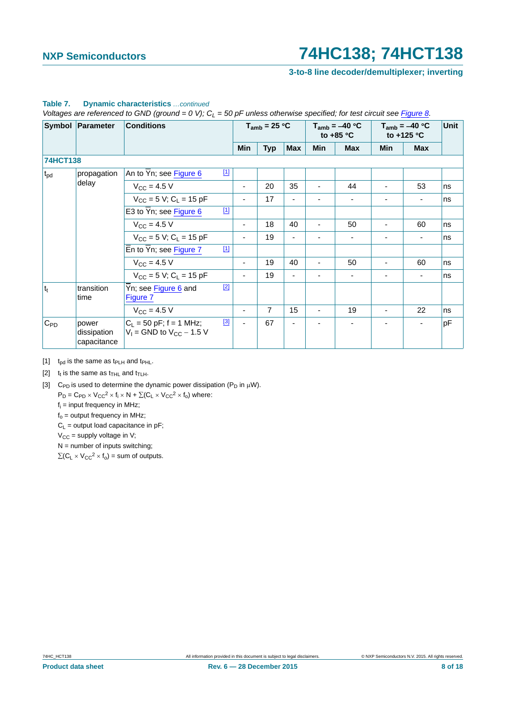**3-to-8 line decoder/demultiplexer; inverting**

|          | Symbol Parameter                    | <b>Conditions</b>                                            |       | $T_{amb}$ = 25 °C        |                |                |                | $T_{amb} = -40 °C$<br>to $+85$ °C |     | $T_{amb} = -40 °C$<br>to +125 °C | Unit |
|----------|-------------------------------------|--------------------------------------------------------------|-------|--------------------------|----------------|----------------|----------------|-----------------------------------|-----|----------------------------------|------|
|          |                                     |                                                              |       | Min                      | <b>Typ</b>     | <b>Max</b>     | Min            | <b>Max</b>                        | Min | <b>Max</b>                       |      |
| 74HCT138 |                                     |                                                              |       |                          |                |                |                |                                   |     |                                  |      |
| $t_{pd}$ | propagation                         | An to $\overline{Y}$ n; see Figure 6                         | $[1]$ |                          |                |                |                |                                   |     |                                  |      |
|          | delay                               | $V_{\rm CC} = 4.5 V$                                         |       | $\overline{\phantom{0}}$ | 20             | 35             | $\blacksquare$ | 44                                |     | 53                               | ns   |
|          |                                     | $V_{CC}$ = 5 V; C <sub>1</sub> = 15 pF                       |       | ٠                        | 17             | $\blacksquare$ | ٠              | $\overline{\phantom{a}}$          | -   | $\blacksquare$                   | ns   |
|          |                                     | E3 to $\overline{Y}$ n; see Figure 6                         | $[1]$ |                          |                |                |                |                                   |     |                                  |      |
|          |                                     | $V_{\rm CC}$ = 4.5 V                                         |       |                          | 18             | 40             | $\blacksquare$ | 50                                |     | 60                               | ns   |
|          |                                     | $V_{CC}$ = 5 V; C <sub>L</sub> = 15 pF                       |       | $\overline{\phantom{0}}$ | 19             |                |                |                                   |     |                                  | ns   |
|          |                                     | En to Yn; see Figure 7                                       | $[1]$ |                          |                |                |                |                                   |     |                                  |      |
|          |                                     | $V_{CC}$ = 4.5 V                                             |       | ٠                        | 19             | 40             | ٠              | 50                                |     | 60                               | ns   |
|          |                                     | $V_{CC}$ = 5 V; C <sub>L</sub> = 15 pF                       |       |                          | 19             |                |                |                                   |     | ٠                                | ns   |
| $ t_t $  | transition<br>time                  | Yn; see Figure 6 and<br>Figure 7                             | $[2]$ |                          |                |                |                |                                   |     |                                  |      |
|          |                                     | $V_{CC} = 4.5 V$                                             |       | ٠                        | $\overline{7}$ | 15             | $\blacksquare$ | 19                                | ٠   | 22                               | ns   |
| $C_{PD}$ | power<br>dissipation<br>capacitance | $C_L = 50$ pF; f = 1 MHz;<br>$V_1$ = GND to $V_{CC}$ – 1.5 V | $[3]$ | ٠                        | 67             |                |                |                                   |     | $\blacksquare$                   | pF   |

#### **Table 7. Dynamic characteristics** *…continued*

*Voltages are referenced to GND (ground = 0 V);*  $C_L = 50$  pF unless otherwise specified; for test circuit see Figure 8.

<span id="page-7-0"></span>[1]  $t_{\text{od}}$  is the same as  $t_{\text{PLH}}$  and  $t_{\text{PHL}}$ .

<span id="page-7-1"></span>[2]  $t_t$  is the same as  $t_{\text{THL}}$  and  $t_{\text{TLH}}$ .

<span id="page-7-2"></span>[3] C<sub>PD</sub> is used to determine the dynamic power dissipation (P<sub>D</sub> in  $\mu$ W).

 $P_D = C_{PD} \times V_{CC}^2 \times f_i \times N + \Sigma (C_L \times V_{CC}^2 \times f_0)$  where:

fi = input frequency in MHz;

 $f_0$  = output frequency in MHz;

 $C_L$  = output load capacitance in pF;

 $V_{CC}$  = supply voltage in V;

 $N =$  number of inputs switching;

 $\Sigma(C_L \times V_{CC}^2 \times f_0)$  = sum of outputs.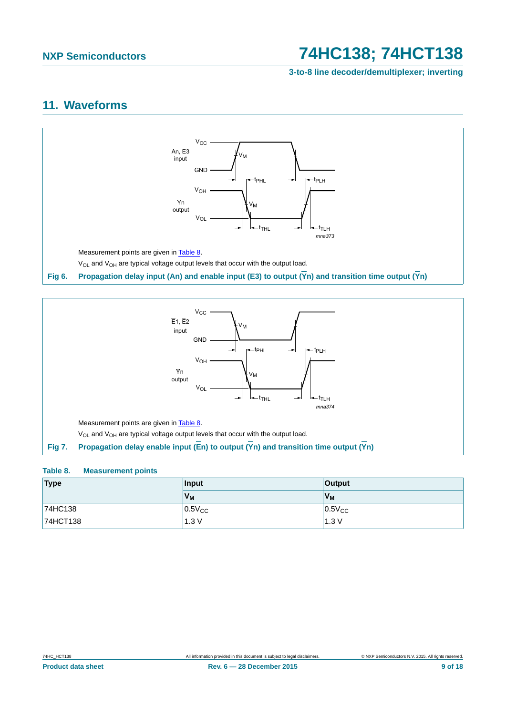**3-to-8 line decoder/demultiplexer; inverting**

### <span id="page-8-3"></span>**11. Waveforms**



<span id="page-8-0"></span>

### <span id="page-8-2"></span><span id="page-8-1"></span>**Table 8. Measurement points**

| Type     | Input          | <b>Output</b> |
|----------|----------------|---------------|
|          | V <sub>M</sub> | $V_{M}$       |
| 74HC138  | $0.5V_{CC}$    | $0.5V_{CC}$   |
| 74HCT138 | 1.3V           | 1.3V          |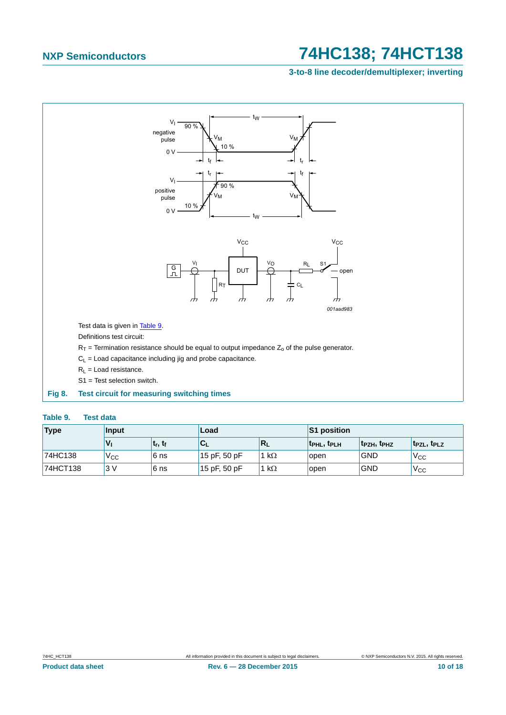### **3-to-8 line decoder/demultiplexer; inverting**



#### <span id="page-9-1"></span><span id="page-9-0"></span>**Table 9. Test data**

| <b>Type</b> | <b>Input</b> |                                 | Load         |              | <b>S1 position</b>                  |                                     |                                     |
|-------------|--------------|---------------------------------|--------------|--------------|-------------------------------------|-------------------------------------|-------------------------------------|
|             |              | t <sub>r</sub> , t <sub>f</sub> | ືີ           | ∣K∟          | t <sub>PHL</sub> , t <sub>PLH</sub> | t <sub>PZH</sub> , t <sub>PHZ</sub> | t <sub>PZL</sub> , t <sub>PLZ</sub> |
| 74HC138     | Vcc          | 6 ns                            | 15 pF, 50 pF | 1 k $\Omega$ | open                                | <b>GND</b>                          | 'V <sub>CC</sub>                    |
| 74HCT138    | 3V           | 6 ns                            | 15 pF, 50 pF | 1 k $\Omega$ | open                                | <b>GND</b>                          | $V_{CC}$                            |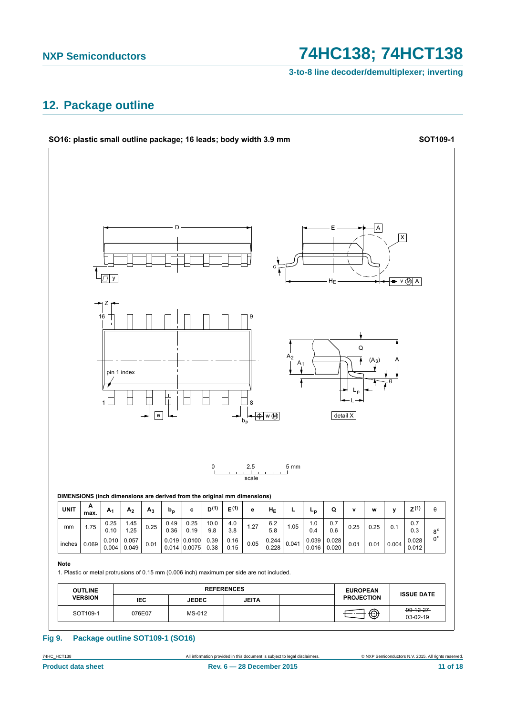### **NXP Semiconductors**

## 74HC138; 74HCT138

3-to-8 line decoder/demultiplexer; inverting

### <span id="page-10-0"></span>12. Package outline



#### **Fig 9.** Package outline SOT109-1 (SO16)

74HC\_HCT138 **Product data sheet**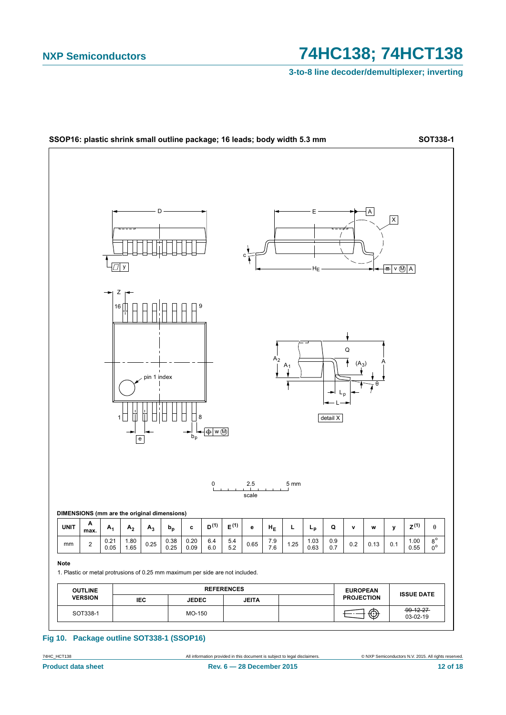## 74HC138; 74HCT138

3-to-8 line decoder/demultiplexer; inverting



#### Fig 10. Package outline SOT338-1 (SSOP16)

74HC\_HCT138 **Product data sheet**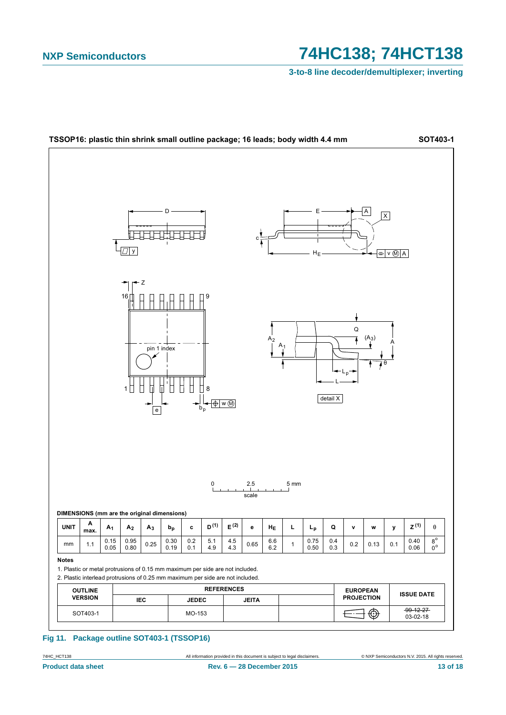## 74HC138; 74HCT138

3-to-8 line decoder/demultiplexer; inverting



#### Fig 11. Package outline SOT403-1 (TSSOP16)

All information provided in this document is subject to legal disclaimers.

74HC\_HCT138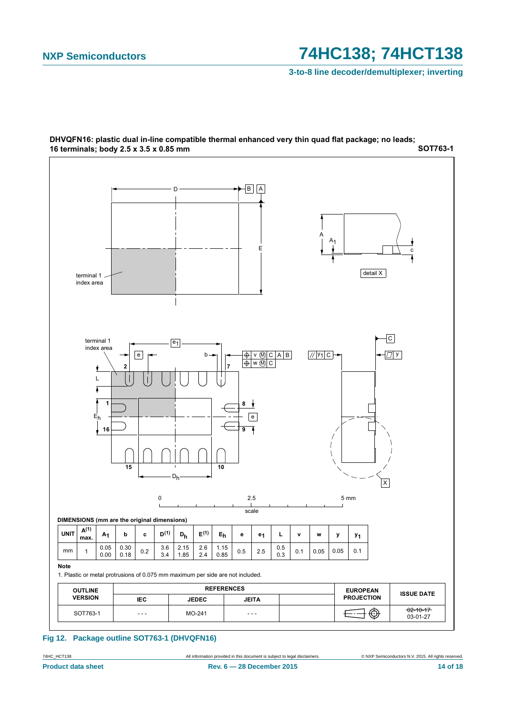**3-to-8 line decoder/demultiplexer; inverting**



**627763-1** DHVQFN16: plastic dual in-line compatible thermal enhanced very thin quad flat package; no leads; 16 terminals; body 2.5 x 3.5 x 0.85 mm

#### **Fig 12. Package outline SOT763-1 (DHVQFN16)**

**Product data sheet Rev. 6 — 28 December 2015 14 of 18** 

74HC\_HCT138 All information provided in this document is subject to legal disclaimers. © NXP Semiconductors N.V. 2015. All rights reserved.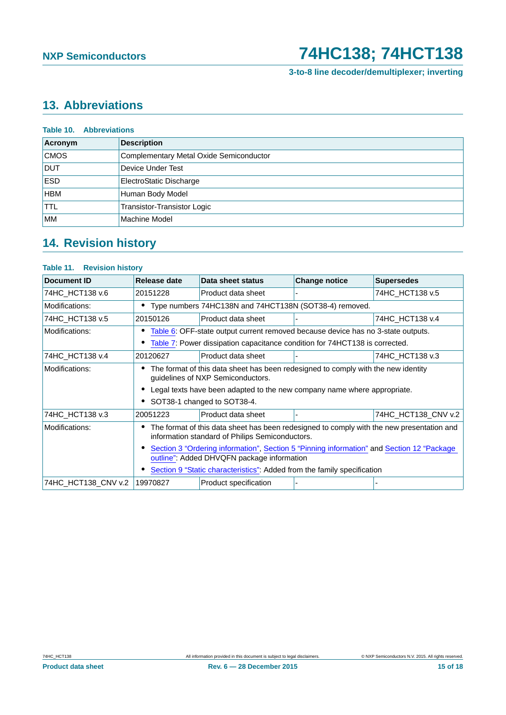**3-to-8 line decoder/demultiplexer; inverting**

## <span id="page-14-0"></span>**13. Abbreviations**

| Acronym     | <b>Description</b>                      |
|-------------|-----------------------------------------|
| <b>CMOS</b> | Complementary Metal Oxide Semiconductor |
| <b>DUT</b>  | Device Under Test                       |
| <b>ESD</b>  | ElectroStatic Discharge                 |
| <b>HBM</b>  | Human Body Model                        |
| <b>TTL</b>  | Transistor-Transistor Logic             |
| <b>IMM</b>  | Machine Model                           |

# <span id="page-14-1"></span>**14. Revision history**

### **Table 11. Revision history**

| <b>Document ID</b>  | Release date                                                                                                                                 | Data sheet status                                                                | <b>Change notice</b> | <b>Supersedes</b>   |  |
|---------------------|----------------------------------------------------------------------------------------------------------------------------------------------|----------------------------------------------------------------------------------|----------------------|---------------------|--|
| 74HC_HCT138 v.6     | 20151228                                                                                                                                     | Product data sheet                                                               |                      | 74HC HCT138 v.5     |  |
| Modifications:      | Type numbers 74HC138N and 74HCT138N (SOT38-4) removed.                                                                                       |                                                                                  |                      |                     |  |
| 74HC HCT138 v.5     | 20150126                                                                                                                                     | Product data sheet                                                               |                      | 74HC HCT138 v.4     |  |
| Modifications:      |                                                                                                                                              | Table 6: OFF-state output current removed because device has no 3-state outputs. |                      |                     |  |
|                     | Table 7: Power dissipation capacitance condition for 74HCT138 is corrected.                                                                  |                                                                                  |                      |                     |  |
| 74HC HCT138 v.4     | 20120627                                                                                                                                     | Product data sheet                                                               |                      | 74HC HCT138 v.3     |  |
| Modifications:      | The format of this data sheet has been redesigned to comply with the new identity<br>guidelines of NXP Semiconductors.                       |                                                                                  |                      |                     |  |
|                     |                                                                                                                                              | Legal texts have been adapted to the new company name where appropriate.         |                      |                     |  |
|                     |                                                                                                                                              | SOT38-1 changed to SOT38-4.                                                      |                      |                     |  |
| 74HC HCT138 v.3     | 20051223                                                                                                                                     | Product data sheet                                                               |                      | 74HC_HCT138_CNV v.2 |  |
| Modifications:      | The format of this data sheet has been redesigned to comply with the new presentation and<br>information standard of Philips Semiconductors. |                                                                                  |                      |                     |  |
|                     | Section 3 "Ordering information", Section 5 "Pinning information" and Section 12 "Package<br>outline": Added DHVQFN package information      |                                                                                  |                      |                     |  |
|                     | Section 9 "Static characteristics": Added from the family specification                                                                      |                                                                                  |                      |                     |  |
| 74HC_HCT138_CNV v.2 | 19970827                                                                                                                                     | Product specification                                                            |                      |                     |  |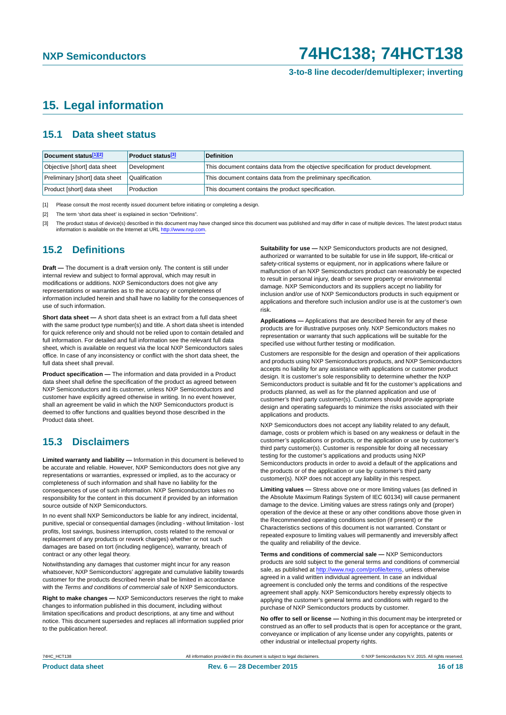**3-to-8 line decoder/demultiplexer; inverting**

### <span id="page-15-3"></span>**15. Legal information**

### <span id="page-15-4"></span>**15.1 Data sheet status**

| Document status[1][2]          | <b>Product status</b> <sup>[3]</sup> | <b>Definition</b>                                                                     |
|--------------------------------|--------------------------------------|---------------------------------------------------------------------------------------|
| Objective [short] data sheet   | Development                          | This document contains data from the objective specification for product development. |
| Preliminary [short] data sheet | Qualification                        | This document contains data from the preliminary specification.                       |
| Product [short] data sheet     | Production                           | This document contains the product specification.                                     |

<span id="page-15-0"></span>[1] Please consult the most recently issued document before initiating or completing a design.

<span id="page-15-1"></span>[2] The term 'short data sheet' is explained in section "Definitions".

<span id="page-15-2"></span>[3] The product status of device(s) described in this document may have changed since this document was published and may differ in case of multiple devices. The latest product status<br>information is available on the Intern

### <span id="page-15-5"></span>**15.2 Definitions**

**Draft —** The document is a draft version only. The content is still under internal review and subject to formal approval, which may result in modifications or additions. NXP Semiconductors does not give any representations or warranties as to the accuracy or completeness of information included herein and shall have no liability for the consequences of use of such information.

**Short data sheet —** A short data sheet is an extract from a full data sheet with the same product type number(s) and title. A short data sheet is intended for quick reference only and should not be relied upon to contain detailed and full information. For detailed and full information see the relevant full data sheet, which is available on request via the local NXP Semiconductors sales office. In case of any inconsistency or conflict with the short data sheet, the full data sheet shall prevail.

**Product specification —** The information and data provided in a Product data sheet shall define the specification of the product as agreed between NXP Semiconductors and its customer, unless NXP Semiconductors and customer have explicitly agreed otherwise in writing. In no event however, shall an agreement be valid in which the NXP Semiconductors product is deemed to offer functions and qualities beyond those described in the Product data sheet.

### <span id="page-15-6"></span>**15.3 Disclaimers**

**Limited warranty and liability —** Information in this document is believed to be accurate and reliable. However, NXP Semiconductors does not give any representations or warranties, expressed or implied, as to the accuracy or completeness of such information and shall have no liability for the consequences of use of such information. NXP Semiconductors takes no responsibility for the content in this document if provided by an information source outside of NXP Semiconductors.

In no event shall NXP Semiconductors be liable for any indirect, incidental, punitive, special or consequential damages (including - without limitation - lost profits, lost savings, business interruption, costs related to the removal or replacement of any products or rework charges) whether or not such damages are based on tort (including negligence), warranty, breach of contract or any other legal theory.

Notwithstanding any damages that customer might incur for any reason whatsoever, NXP Semiconductors' aggregate and cumulative liability towards customer for the products described herein shall be limited in accordance with the *Terms and conditions of commercial sale* of NXP Semiconductors.

**Right to make changes —** NXP Semiconductors reserves the right to make changes to information published in this document, including without limitation specifications and product descriptions, at any time and without notice. This document supersedes and replaces all information supplied prior to the publication hereof.

**Suitability for use —** NXP Semiconductors products are not designed, authorized or warranted to be suitable for use in life support, life-critical or safety-critical systems or equipment, nor in applications where failure or malfunction of an NXP Semiconductors product can reasonably be expected to result in personal injury, death or severe property or environmental damage. NXP Semiconductors and its suppliers accept no liability for inclusion and/or use of NXP Semiconductors products in such equipment or applications and therefore such inclusion and/or use is at the customer's own risk.

**Applications —** Applications that are described herein for any of these products are for illustrative purposes only. NXP Semiconductors makes no representation or warranty that such applications will be suitable for the specified use without further testing or modification.

Customers are responsible for the design and operation of their applications and products using NXP Semiconductors products, and NXP Semiconductors accepts no liability for any assistance with applications or customer product design. It is customer's sole responsibility to determine whether the NXP Semiconductors product is suitable and fit for the customer's applications and products planned, as well as for the planned application and use of customer's third party customer(s). Customers should provide appropriate design and operating safeguards to minimize the risks associated with their applications and products.

NXP Semiconductors does not accept any liability related to any default, damage, costs or problem which is based on any weakness or default in the customer's applications or products, or the application or use by customer's third party customer(s). Customer is responsible for doing all necessary testing for the customer's applications and products using NXP Semiconductors products in order to avoid a default of the applications and the products or of the application or use by customer's third party customer(s). NXP does not accept any liability in this respect.

**Limiting values —** Stress above one or more limiting values (as defined in the Absolute Maximum Ratings System of IEC 60134) will cause permanent damage to the device. Limiting values are stress ratings only and (proper) operation of the device at these or any other conditions above those given in the Recommended operating conditions section (if present) or the Characteristics sections of this document is not warranted. Constant or repeated exposure to limiting values will permanently and irreversibly affect the quality and reliability of the device.

**Terms and conditions of commercial sale —** NXP Semiconductors products are sold subject to the general terms and conditions of commercial sale, as published at<http://www.nxp.com/profile/terms>, unless otherwise agreed in a valid written individual agreement. In case an individual agreement is concluded only the terms and conditions of the respective agreement shall apply. NXP Semiconductors hereby expressly objects to applying the customer's general terms and conditions with regard to the purchase of NXP Semiconductors products by customer.

**No offer to sell or license —** Nothing in this document may be interpreted or construed as an offer to sell products that is open for acceptance or the grant, conveyance or implication of any license under any copyrights, patents or other industrial or intellectual property rights.

74HC\_HCT138 All information provided in this document is subject to legal disclaimers. © NXP Semiconductors N.V. 2015. All rights reserved.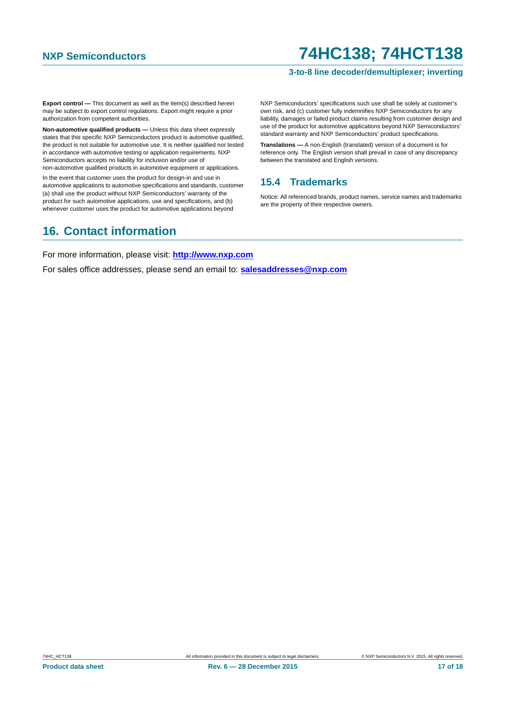#### **3-to-8 line decoder/demultiplexer; inverting**

**Export control —** This document as well as the item(s) described herein may be subject to export control regulations. Export might require a prior authorization from competent authorities.

**Non-automotive qualified products —** Unless this data sheet expressly states that this specific NXP Semiconductors product is automotive qualified, the product is not suitable for automotive use. It is neither qualified nor tested in accordance with automotive testing or application requirements. NXP Semiconductors accepts no liability for inclusion and/or use of non-automotive qualified products in automotive equipment or applications.

In the event that customer uses the product for design-in and use in automotive applications to automotive specifications and standards, customer (a) shall use the product without NXP Semiconductors' warranty of the product for such automotive applications, use and specifications, and (b) whenever customer uses the product for automotive applications beyond

NXP Semiconductors' specifications such use shall be solely at customer's own risk, and (c) customer fully indemnifies NXP Semiconductors for any liability, damages or failed product claims resulting from customer design and use of the product for automotive applications beyond NXP Semiconductors' standard warranty and NXP Semiconductors' product specifications.

**Translations —** A non-English (translated) version of a document is for reference only. The English version shall prevail in case of any discrepancy between the translated and English versions.

### <span id="page-16-0"></span>**15.4 Trademarks**

Notice: All referenced brands, product names, service names and trademarks are the property of their respective owners.

### <span id="page-16-1"></span>**16. Contact information**

For more information, please visit: **http://www.nxp.com**

For sales office addresses, please send an email to: **salesaddresses@nxp.com**